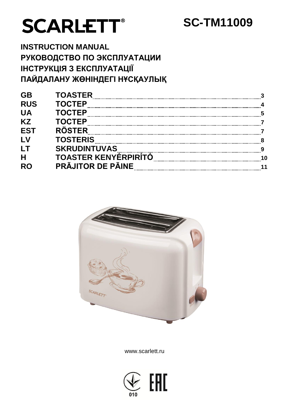# **SCARLETT®**

## **SC-TM11009**

**INSTRUCTION MANUAL** РУКОВОДСТВО ПО ЭКСПЛУАТАЦИИ ІНСТРУКЦІЯ З ЕКСПЛУАТАЦІЇ ПАЙДАЛАНУ ЖӨНІНДЕГІ НҰСҚАУЛЫҚ

| <b>GB</b>      | <b>TOASTER</b>                               |      |
|----------------|----------------------------------------------|------|
| <b>RUS</b>     | <b>TOCTEP</b>                                |      |
| <b>UA</b>      | <b>TOCTEP</b>                                | $-5$ |
| <b>KZ</b>      | <b>TOCTEP</b>                                |      |
| <b>EST</b>     | <b>RÖSTER</b>                                |      |
| LV             | <b>TOSTERIS</b>                              |      |
| LT             |                                              |      |
| $\overline{H}$ | <b>SKRUUINTUVAS<br/>TOASTER KENYÉRPIRÍTÓ</b> |      |
| <b>RC</b>      | PRÃJITOR DE PÃINE                            |      |
|                |                                              |      |



www.scarlett.ru

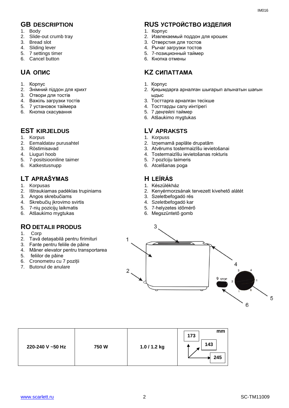- 1. Body
- 2. Slide-out crumb tray
- 3. Bread slot
- 4. Sliding lever
- 5. 7 settings timer
- 6. Cancel button

- 1. Корпус
- 2. Знiмний піддон для крихт
- 3. Отвори для тостів
- 4. Важіль загрузки тостів
- 5. 7 установок таймера
- 6. Кнопка скасування

#### **EST KIRJELDUS LV APRAKSTS**

- 1. Korpus
- 2. Eemaldatav purusahtel
- 3. Röstimisavad
- 4. Liuguri hoob
- 5. 7-positsiooniline taimer
- 6. Katkestusnupp

## **LT APRAŠYMAS H LEÍRÁS**

- 1. Korpusas
- 2. Ištraukiamas padėklas trupiniams
- 3. Angos skrebučiams
- 4. Skrebučių įkrovimo svirtis
- 5. 7-nių pozicijų laikmatis
- 6. Atšaukimo mygtukas

#### **RO DETALII PRODUS**

- 1. Corp
- 2. Tavă detașabilă pentru firimituri
- 3. Fante pentru feliile de pâine
- 4. Mâner elevator pentru transportarea
- 5. feliilor de pâine
- 6. Cronometru cu 7 poziții
- 7. Butonul de anulare

#### **GB DESCRIPTION RUS УСТРОЙСТВО ИЗДЕЛИЯ**

- 1. Корпус
- 2. Извлекаемый поддон для крошек
- 3. Отверстия для тостов
- 4. Рычаг загрузки тостов
- 5. 7-позиционный таймер
- 6. Кнопка отмены

## **UA ОПИС KZ СИПАТТАМА**

- 1. Корпус
- 2. Қиқымдарға арналған шығарып алынатын шағын ыдыс
- 3. Тосттарға арналған тесікше
- 4. Тосттарды салу иінтірегі
- 5. 7 деңгейлі таймер
- 6. Atšaukimo mygtukas

- 1. Korpuss
- 2. Izņemamā paplāte drupatām
- 3. Atvērums tostermaizīšu ievietošanai
- 4. Tostermaizīšu ievietošanas rokturis
- 5. 7-pozīciju taimeris
- 6. Atcelšanas poga

- 1. Készülékház
- 2. Kenyérmorzsának tervezett kivehető alátét
- 3. Szeletbefogadó rés
- 4. Szeletbefogadó kar
- 5. 7-helyzetes időmérő
- 6. Megszüntető gomb



| 220-240 V ~50 Hz<br>1.0 / 1.2 kg<br>750W | mm<br>173<br>143<br>245 |
|------------------------------------------|-------------------------|
|------------------------------------------|-------------------------|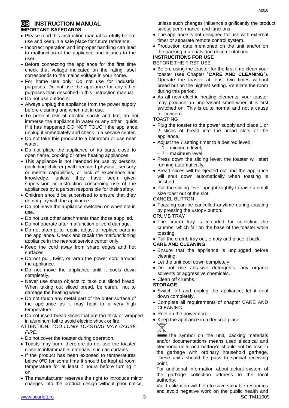#### **GB INSTRUCTION MANUAL IMPORTANT SAFEGARDS**

- Please read this instruction manual carefully before use and keep in a safe place for future reference.
- Incorrect operation and improper handling can lead to malfunction of the appliance and injuries to the user.
- Before connecting the appliance for the first time check that voltage indicated on the rating label corresponds to the mains voltage in your home.
- For home use only. Do not use for industrial purposes. Do not use the appliance for any other purposes than described in this instruction manual.
- Do not use outdoors.
- Always unplug the appliance from the power supply before cleaning and when not in use.
- To prevent risk of electric shock and fire, do not immerse the appliance in water or any other liquids. If it has happened DO NOT TOUCH the appliance, unplug it immediately and check in a service center.
- Do not take this product to a bathroom or use near water
- Do not place the appliance or its parts close to open flame, cooking or other heating appliances.
- This appliance is not intended for use by persons (including children) with reduced physical, sensory or mental capabilities, or lack of experience and knowledge, unless they have been given supervision or instruction concerning use of the appliances by a person responsible for their safety.
- Children should be supervised to ensure that they do not play with the appliance.
- Do not leave the appliance switched on when not in use.
- Do not use other attachments than those supplied.
- Do not operate after malfunction or cord damage.
- Do not attempt to repair, adjust or replace parts in the appliance. Check and repair the malfunctioning appliance in the nearest service center only.
- Keep the cord away from sharp edges and hot surfaces.
- Do not pull, twist, or wrap the power cord around the appliance.
- Do not move the appliance until it cools down completely.
- Never use sharp objects to take out sliced bread! When taking out sliced bread, be careful not to damage the heating wires.
- Do not touch any metal part of the outer surface of the appliance as it may heat to a very high temperature.
- Do not insert bread slices that are too thick or wrapped in aluminum foil to avoid electric shock or fire.
- ATTENTION*: TOO LONG TOASTING MAY CAUSE FIRE*.
- Do not cover the toaster during operation.
- Toasts may burn, therefore do not use the toaster close to inflammable materials, such as curtains.
- If the product has been exposed to temperatures below 0ºC for some time it should be kept at room temperature for at least 2 hours before turning it on.
- The manufacturer reserves the right to introduce minor changes into the product design without prior notice,

unless such changes influence significantly the product safety, performance, and functions.

- The appliance is not designed for use with external timer or separate remote control system.
- Production date mentioned on the unit and/or on the packing materials and documentations.

## **INSTRUCITIONS FOR USE**

BEFORE THE FIRST USE

- Before using the toaster for the first time clean your toaster (see Chapter "**CARE AND CLEANING**"). Operate the toaster at least two times without bread but on the highest setting. Ventilate the room during this period.
- As all new electric heating elements, your toaster may produce an unpleasant smell when it is first switched on. This is quite normal and not a cause for concern.

TOASTING

- Plug the toaster to the power supply and place 1 or 2 slices of bread into the bread slots of the appliance.
- Adjust the 7 setting timer to a desired level:
	- 1 minimum level;
	- 7 maximum level.
- Press down the sliding lever, the toaster will start running automatically.
- Bread slices will be ejected out and the appliance will shut down automatically when toasting is finished.
- Pull the sliding lever upright slightly to raise a small size toast out of the slot.

#### CANCEL BUTTON

 Toasting can be cancelled anytime during toasting by pressing the «stop» button.

#### CRUMB TRAY

 The crumb tray is intended for collecting the crumbs, which fall on the base of the toaster while toasting.

• Pull the crumb tray out, empty and place it back.

#### **CARE AND CLEANING**

- Ensure that the appliance is unplugged before cleaning.
- Let the unit cool down completely.
- Do not use abrasive detergents, any organic solvents or aggressive chemicals.

#### Clean off crumbs.

#### **STORAGE**

- Switch off and unplug the appliance; let it cool down completely.
- Complete all requirements of chapter CARE AND CLEANING.
- Reel on the power cord.
- Keep the appliance in a dry cool place.



The symbol on the unit, packing materials and/or documentations means used electrical and electronic units and battery's should not be toss in the garbage with ordinary household garbage. These units should be pass to special receiving point.

For additional information about actual system of the garbage collection address to the local authority.

www.scarlett.ru 3 SC-TM11009 Valid utilization will help to save valuable resources and avoid negative work on the public health and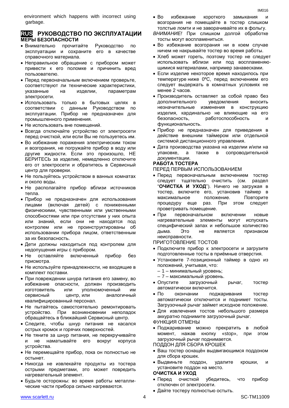#### **RUS РУКОВОДСТВО ПО ЭКСПЛУАТАЦИИ МЕРЫ БЕЗОПАСНОСТИ**

- Внимательно прочитайте Руководство по эксплуатации и сохраните его в качестве справочного материала.
- Неправильное обращение с прибором может привести к его поломке и причинить вред пользователю.
- Перед первоначальным включением проверьте, соответствуют ли технические характеристики, указанные на изделии, параметрам электросети.
- Использовать только в бытовых целях в соответствии с данным Руководством по эксплуатации. Прибор не предназначен для промышленного применения.
- Не использовать вне помешений.
- Всегда отключайте устройство от электросети перед очисткой, или если Вы не пользуетесь им.
- Во избежание поражения электрическим током и возгорания, не погружайте прибор в воду или другие жидкости. Если это произошло, НЕ БЕРИТЕСЬ за изделие, немедленно отключите его от электросети и обратитесь в Сервисный центр для проверки.
- Не пользуйтесь устройством в ванных комнатах и около воды.
- Не располагайте прибор вблизи источников тепла.
- Прибор не предназначен для использования лицами (включая детей) с пониженными физическими, чувственными или умственными способностями или при отсутствии у них опыта или знаний, если они не находятся под контролем или не проинструктированы об использовании прибора лицом, ответственным за их безопасность.
- Дети должны находиться под контролем для недопущения игры с прибором.
- Не оставляйте включенный прибор без присмотра.
- Не используйте принадлежности, не входящие в комплект поставки.
- При повреждении шнура питания его замену, во избежание опасности, должен производить изготовитель или уполномоченный им сервисный центр, или аналогичный квалифицированный персонал.
- Не пытайтесь самостоятельно ремонтировать устройство. При возникновении неполадок обращайтесь в ближайший Сервисный центр.
- Следите, чтобы шнур питания не касался острых кромок и горячих поверхностей.
- Не тяните за шнур питания, не перекручивайте и не наматывайте его вокруг корпуса устройства.
- Не перемещайте прибор, пока он полностью не остынет.
- Никогда не извлекайте продукты из тостера острыми предметами, это может повредить нагревательный элемент.
- Будьте осторожны: во время работы металлические части прибора сильно нагреваются.
- Во избежание короткого замыкания и возгорания не помещайте в тостер слишком толстые ломти и не заворачивайте их в фольгу.
- *ВНИМАНИЕ!* При слишком долгой обработке тосты могут воспламениться.
- Во избежание возгорания ни в коем случае ничем не накрывайте тостер во время работы.
- Хлеб может гореть, поэтому тостер не следует использовать вблизи или под воспламеняющимися материалами, например занавесками.
- Если изделие некоторое время находилось при температуре ниже 0ºC, перед включением его следует выдержать в комнатных условиях не менее 2 часов.
- Производитель оставляет за собой право без дополнительного уведомления вносить незначительные изменения в конструкцию изделия, кардинально не влияющие на его безопасность, работоспособность и функциональность.
- Прибор не предназначен для приведения в действие внешним таймером или отдельной системой дистанционного управления.
- Дата производства указана на изделии и/или на упаковке, а также в сопроводительной документации.

#### **РАБОТА ТОСТЕРА**

#### ПЕРЕД ПЕРВЫМ ИСПОЛЬЗОВАНИЕМ

- Перед первоначальным включением тостер следует тщательно очистить (см. раздел "**ОЧИСТКА И УХОД**"). Ничего не загружая в тостер, включите его, установив таймер в максимальное положение. Повторите процедуру еще раз. При этом следует проветривать помещение.
- При первоначальном включении новые нагревательные элементы могут испускать специфический запах и небольшое количество дыма. Это не является признаком неисправности.

ПРИГОТОВЛЕНИЕ ТОСТОВ

- Подключите прибор к электросети и загрузите подготовленные тосты в приёмные отверстия.
- Установите 7-позиционный таймер в одно из положений, учитывая, что:
	- 1 минимальный уровень;
	- 7 максимальный уровень.
- Опустите загрузочный рычаг, тостер автоматически включится.
- По окончании поджаривания тостер автоматически отключится и поднимет тосты. Загрузочный рычаг займет исходное положение.
- Для извлечения тостов небольшого размера аккуратно поднимите загрузочный рычаг.

ФУНКЦИЯ ОТМЕНЫ

- Поджаривание можно прекратить в любой момент, нажав кнопку «stop», при этом загрузочный рычаг поднимается.
- ПОДДОН ДЛЯ СБОРА КРОШЕК
- Ваш тостер оснащён выдвигающимся поддоном для сбора крошек.
- Выдвиньте поддон, удалите крошки, и установите поддон на место.

#### **ОЧИСТКА И УХОД**

- Перед очисткой убедитесь, что прибор отключен от электросети.
- Дайте тостеру полностью остыть.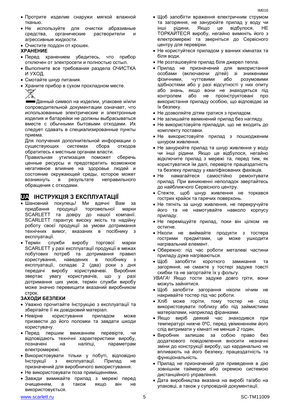- Протрите изделие снаружи мягкой влажной тканью.
- Не используйте для очистки абразивные средства. органические растворители И агрессивные жидкости.
- Очистите поддон от крошек.

#### **ХРАНЕНИЕ**

- Перед хранением убедитесь, что прибор отключен от электросети и полностью остыл.
- Выполните все требования раздела ОЧИСТКА И УХОД.
- Смотайте шнур питания.
- Храните прибор в сухом прохладном месте.  $\bullet$

Данный символ на изделии, упаковке и/или сопроводительной документации означает, что использованные электрические и электронные изделия и батарейки не должны выбрасываться вместе с обычными бытовыми отходами. Их следует сдавать в специализированные пункты приема.

Для получения дополнительной информации о существующих системах сбора ОТХОДОВ обратитесь к местным органам власти.

Правильная утилизация поможет сберечь ценные ресурсы и предотвратить возможное негативное влияние на здоровье людей и состояние окружающей среды, которое может результате неправильного ВОЗНИКНУТЬ  $\mathbf{B}$ обращения с отходами.

#### **UA IHCTPYKЦIЯ З ЕКСПЛУАТАЦІІ**

- Шановний покупець! Ми вдячні Вам за придбання продукції торговельної марки SCARLETT та довіру до нашої компанії. SCARLETT гарантує високу якість та надійну роботу своєї продукції за умови дотримання технічних вимог, вказаних в посібнику з експлуатації.
- $\bullet$  Термін служби виробу торгової марки SCARLETT у разі експлуатації продукції в межах побутових потреб та дотримання правил користування, наведених  $\mathbf{B}$ посібнику  $\mathbf{R}$ експлуатації, складає 2 (два) роки з дня виробу користувачеві. передачі Виробник увагу користувачів, звертає ЩО y разі дотримання цих умов, термін служби виробу може значно перевищити вказаний виробником строк.

#### ЗАХОДИ БЕЗПЕКИ

- Уважно прочитайте Інструкцію з експлуатації та зберігайте її як довідковий матеріал.
- $\bullet$  Невірне користування приладом може призвести до його поломки та завдати шкоди користувачу.
- Перед першим перевірте, вмиканням ЧИ відповідають технічні характеристики виробу, наліпці. параметрам позначені на електромережі.
- Використовувати тільки у побуті, відповідно експлуатації. Інструкції  $\mathbf{3}$ Прилад  $He$ призначений для виробничого використування.
- Не використовувати поза приміщеннями.
- Завжди вимикайте прилад з мережі перед також очищенням, a якщо він He використовується.
- Щоб запобігти враження електричним струмом та загоряння, не занурюйте прилад у воду чи інші рідини. Якщо це відбулося, **HE** ТОРКАЙТЕСЯ виробу, негайно вимкніть його з електромережі та зверніться до Сервісного центру для перевірки.
- Не користуйтеся приладом у ванних кімнатах та  $\bullet$ біля води.
- Не розташовуйте прилад біля джерел тепла.
- Прилад не призначений для використання особами (включаючи дітей) зі зниженими чуттєвими фізичними, або розумовими здібностями або у разі відсутності у них опиту або знань, якщо вони не знаходяться під або не проінструктовані про контролем використання приладу особою, що відповідає за їх безпеку.
- Не дозволяйте дітям гратися з приладом.
- Не залишайте ввімкнений прилад без нагляду.
- Не використовуйте приладдя, що не входить до комплекту поставки.
- Не використовуйте прилад з пошкодженим  $\bullet$ шнуром живлення.
- Не занурюйте прилад та шнур живлення у воду чи інші рідини. Якщо це відбулося, негайно відключите прилад з мережі та, перед тим, як користуватися їм далі, перевірте працездатність та безпеку приладу у кваліфікованих фахівців.
- намагайтеся  $\bullet$  He самостійно ремонтувати прилад. При виникненні неполадок звертайтесь до найближчого Сервісного центру.
- Стежте, щоб шнур живлення не торкався гострих крайок та гарячих поверхонь.
- Не тягніть за шнур живлення, не перекручуйте його та не намотувайте навколо корпусу приладу.
- Не переміщуйте прилад, поки він цілком не **ОСТИГНА**
- Ніколи не виймайте продукти з тостера гострими предмітами, це може ушкодити нагрівальний елемент.
- Обережно: під час роботи металеві частини приладу дуже нагріваються.
- $\bullet$  IIIoñ запобігти короткого замикання та загоряння, не смажте у тостері задуже товсті скибки та не загортайте їх у фольгу.
- УВАГА! Якщо тости задуже довго гріти, вони можуть зайнятися.
- Шоб запобігти загорання ніколи нічим не накривайте тостер під час роботи.
- Хліб може горіти, тому тостер не слід використовувати поблизу або під займистими матеріалами, наприклад фіранками.
- Якшо виріб деякий час знаходився при температурі нижче 0°С, перед увімкненням його слід витримати у кімнаті не менше 2 годин.
- Виробник залишає за собою право без додаткового повідомлення вносити незначні зміни до конструкції виробу, що кардинально не впливають на його безпеку, працездатність та функціональність.
- Прилад не призначений для приведення в дію зовнішнім таймером або окремою системою дистанційного управління.
- Дата виробництва вказана на виробі та/або на упаковці, а також у супровідній документації.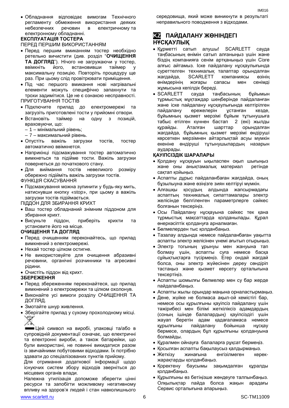Обладнання відповідає вимогам Технічного регламенту обмеження використання деяких небезпечних речовин в електричному та електронному обладнанні.

#### **ЕКСПЛУАТАЦІЯ ТОСТЕРА**

ПЕРЕД ПЕРШИМ ВИКОРИСТАННЯМ

- Перед першим вмиканням тостер необхідно ретельно вичистити (див. розділ "**ОЧИЩЕННЯ ТА ДОГЛЯД**"). Нічого не загружаючи у тостер, ввімкніть його, встановивши таймер у максимальну позицію. Повторіть процедуру ще раз. При цьому слід провітрювати приміщення.
- Під час першого вмикання нові нагрівальні елементи можуть специфічно запахнути та трохи задимітися. Це не є ознакою несправності. ПРИГОТУВАННЯ ТОСТІВ
- Підключите прилад до електромережі та загрузіть приготовлені тости у прийомні отвори.
- Встановіть таймер на одну з позицій, враховуючи, що:
	- 1 мінімальний рівень;
	- 7 максимальний рівень.
- Опустіть важіль загрузки тостів, тостер автоматично ввімкнется.
- Наприкінці підсмажування тостер автоматично вимкнеться та підійме тости. Важіль загрузки повернеться до початкового стану.
- Для виймання тостів невеликого розміру обережно підійміть важіль загрузки тостів. ФУНКЦІЯ СКАСУВАННЯ
- Підсмажування можна зупинити у будь-яку мить, натиснувши кнопку «stop», при цьому а важіль загрузки тостів підіймається.

ПІДДОН ДЛЯ ЗБИРАННЯ КРИХТ

- Ваш тостер обладнаний знімним піддоном для збирання крихт.
- Висуньте піддон, приберіть крихти та установите його на місце.

#### **ОЧИЩЕННЯ ТА ДОГЛЯД**

- Перед очищенням переконайтесь, що прилад вимкнений з електромережі.
- Нехай тостер цілком остигне.
- Не використовуйте для очищення абразивні речовини, органічні розчинники та агресивні рідини.
- Очистіть піддон від крихт.

#### **ЗБЕРЕЖЕННЯ**

- Перед збереженням переконайтеся, що прилад вимкнений з електромрежи та цілком охолонув.
- Виконайте усі вимоги розділу ОЧИЩЕННЯ ТА ДОГЛЯД.
- Змотайте шнур живлення.
- Зберігайте прилад у сухому прохолодному місці. ∀

Цей символ на виробі, упаковці та/або в супровідній документації означає, що електричні та електронні вироби, а також батарейки, що були використані, не повинні викидатися разом із звичайними побутовими відходами. Їх потрібно здавати до спеціалізованих пунктів прийому.

Для отримання додаткової інформації щодо існуючих систем збору відходів зверніться до місцевих органів влади.

Належна утилізація допоможе зберегти цінні ресурси та запобігти можливому негативному впливу на здоров'я людей і стан навколишнього

середовища, який може виникнути в результаті неправильного поводження з відходами.

#### **KZ ПАЙДАЛАНУ ЖӨНІНДЕГІ НҰСҚАУЛЫҚ**

- Курметті сатып алушы! SCARLETT сауда таңбасының өнімін сатып алғаныңыз үшін және біздің компанияға сенім артқаныңыз үшін Сізге алғыс айтамыз. Іске пайдалану нұсқаулығында суреттелген техникалық талаптар орындалған жағдайда, SCARLETT компаниясы өзінің өнімдерінің жоғары сапасы мен сенімді жұмысына кепілдік береді.
- SCARLETT сауда таңбасының бұйымын тұрмыстық мұқтаждар шеңберінде пайдаланған және іске пайдалану нұсқаулығында келтірілген пайдалану ережелерін ұстанған кезде, бұйымның қызмет мерзімі бұйым тұтынушыға табыс етілген күннен бастап 2 (екі) жылды құрайды. Аталған шарттар орындалған жағдайда, бұйымның қызмет мерзімі өндіруші көрсеткен мерзімнен айтарлықтай асуы мүмкін екеніне өндіруші тұтынушылардың назарын аударады.

#### **ҚАУІПСІЗДІК ШАРАЛАРЫ**

- Қолдану нұсқауын ықыласпен оқып шығыңыз және оны анықтамалық материал ретінде сақтап қойыңыз.
- Аспапты дұрыс пайдаланбаған жағдайда, оның бұзылыуна және өзіңізге зиян келтіруі мүмкін.
- Алғашқы қосудың алдында жапсырмадағы аспаптың техникалық сипаттамалары электр желісінде белгіленген параметрлерге сәйкес болғанын тексеріңіз.
- Осы Пайдалану нұсқауына сәйкес тек қана тұрмыстық мақсаттарда қолданылады. Құрал өнеркәсіптік қолдануға арналмаған.
- Бөлмелерден тыс қолданбаңыз.
- Тазалау алдында немесе пайдаланбаған уақытта аспапты электр желісінен үнемі ағытып отырыңыз.
- Электр тогының ұрынуы мен жануына тап болмау үшін, аспапты суға немесе басқа сұйықтықтарға түсірмеңіз. Егер ондай жағдай болса, оны электр жүйесінен дереу сөндіріп тастаңыз және қызмет көрсету орталығына тексертіңіз.
- Аспапты шомылғы бөлмелер мен су бар жерде пайдаланбаңыз.
- Аспапты жылы орындар маңына орналастырмаңыз.
- Дене, жүйке не болмаса ақыл-ой кемістігі бар, немесе осы құрылғыны қауіпсіз пайдалану үшін тәжірибесі мен білімі жеткіліксіз адамдардың (соның ішінде балалардың) қауіпсіздігі үшін жауап беретін адам қадағаламаса немесе құрылғыны пайдалану бойынша нұсқау бермесе, олардың бұл құрылғыны қолдануына болмайды.
- Құралмен ойнауға балаларға рұқсат бермеңіз.
- Қосылған аспапты бақылаусыз қалдырмаңыз.
- Жеткізу жинағына енгізілмеген керекжарақтарды қолданбаңыз.
- Қоректену баусымы зақымдалған құралды қолданбаңыз.
- Құрылғыны өз бетіңізше жөндеуге талпынбаңыз. Олқылықтар пайда болса жақын арадағы Сервис орталығына апарыңыз.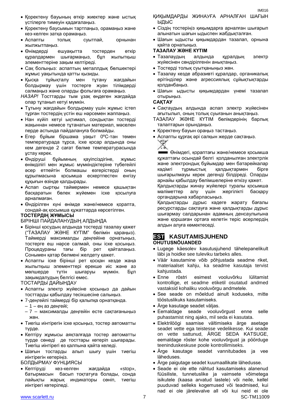- Қоректену баусымын тартпаңыз, орамаңыз және кез-келген затқа орамаңыз.
- Аспапты толық суытпай, орнынан жылжытпаңыз.
- Өнімдерді ешуақытта тостерден өткір құралдармен шығармаңыз, бұл жылытқыш элементтеріне зақым келтіреді.
- Сақ болыңыз: аспаптың металлдық бөлшектері жұмыс уақытында қатты қызиды.
- Қысқа тұйықталу мен тұтану жағдайын болдырмау үшін тостерге жуан тілімдерді салмаңыз және оларды фольгаға орамаңыз.

*НАЗАР!* Тосттарды тым ұзақ өңдеген жағдайда олар тұтанып кетуі мүмкін.

- Тұтыну жағдайын болдырмау үшін жұмыс істеп тұрған тостердің үстін еш нәрсемен жаппаңыз.
- Нан күйіп кетуі ықтимал, сондықтан тостерді жақыннан немесе тұтанатын материал, мәселен перде астында пайдалануға болмайды.
- Егер бұйым біршама уақыт 0ºC-тан төмен температурада тұрса, іске қосар алдында оны кем дегенде 2 сағат бөлме температурасында ұстау керек.
- Өндіруші бұйымның қауіпсіздігіне, жұмыс өнімділігі мен жұмыс мүмкіндіктеріне түбегейлі әсер етпейтін болмашы өзгерістерді оның құрылмасына қосымша ескертпестен енгізу құқығын өзінде қалдырады.
- Аспап сыртқы таймермен немесе қашықтан басқаратын бөлек жүйемен іске қосылуға арналмаған.
- Өндірілген күні өнімде және/немесе қорапта, сондай-ақ қосымша құжаттарда көрсетілген.

#### **ТОСТЕРДІҢ ЖҰМЫСЫ**

БІРІНШІ ПАЙДАЛАНУДЫҢ АЛДЫНДА

- Бірінші қосудың алдында тостерді тазалау қажет ("ТАЗАЛАУ ЖӘНЕ КҮТІМ" бөлімін қараңыз). Таймерді максималды деңгейіне орнатыңыз, тостерге еш нәрсе салмай, оны іске қосыңыз. Процедураны тағы бір рет қайталаңыз. Сонымен қатар бөлмені желдету қажет.
- Аспапты іске бірінші рет қосқан кезде жаңа жылытқыш элементтері ерекше иіс және аз мөлшерде түтін шығаруы мүмкін. Бұл зақымдалудың белгісі емес.

ТОСТАРДЫ ДАЙЫНДАУ

- Аспапты электр жүйесіне қосыңыз да дайын тосттарды қабылдау тесікшесіне салыңыз.
- 7-деңгейлі таймерді бір қалыпқа орнатқанда.
	- 1 ең аз деңгейі;
	- 7 максималды деңгейін есте сақтағаныңыз жөн.
- Тиегіш иінтірегін іске қосыңыз, тостер автоматты түрде.
- Кептіру жұмысы аяқталғада тостер автоматты түрде сөнеді де тосттары көтеріп шығарады. Тиегіш иінтірегі өз қалпына қайта келеді.
- Шағын тостарды алып шығу үшін тиегіш иінтірегін көтеріңіз.

БОЛДЫРМАУ ФУНЦИЯСЫ

• Кептіруді кез-келген жағдайда «stop». батырмасын басып тоқтатуға болады, сонда лайықты жарық индикаторы сөніп, тиегіш иінтірегі көтеріледі.

ҚИҚЫМДАРДЫ ЖИНАУҒА АРНАЛҒАН ШАҒЫН ЫДЫС

IM016

- Сіздің тостеріңіз қиқымдарға арналған шығарып алынатын шағын ыдыспен жабдықталған.
- Шағын ыдысты қиқымдардан тазалап, орнына қайта орнатыңыз.

#### **ТАЗАЛАУ ЖӘНЕ КҮТІМ**

- Тазалаудың алдында құралдың электр жүйесінен сөндірілгенін анықтаңыз.
- Тостерді толық суытқаныңыз жөн.
- Тазалау кезде абразивті құралдар, органикалық ерітінділер және агрессиялық сұйықтықтарды қолданбаңыз.
- Шағын ыдысты қиқымдардан үнемі тазалап отырыңыз.

#### **САҚТАУ**

- Сақтаудың алдында аспап электр жүйесінен ағытылып, оның толық суығанын анықтаңыз.
- ТАЗАЛАУ ЖӘНЕ КҮТІМ бөлімдерінің барлық талаптарын орындаңыз.
- Қоректену бауын ораңыз тастаңыз.
- Аспапты құрғақ әрі салқын жерде сақтаңыз.



Өнімдегі, қораптағы және/немесе қосымша құжаттағы осындай белгі қолданылған электрлік және электрондық бұйымдар мен батарейкалар кәдімгі тұрмыстық қалдықтармен бірге шығарылмауы керек дегенді білдіреді. Оларды арнайы қабылдау бөлімшелеріне өткізу қажет.

Қалдықтарды жинау жүйелері туралы қосымша мәліметтер алу үшін жергілікті басқару органдарына хабарласыңыз.

Қалдықтарды дұрыс кәдеге жарату бағалы ресурстарды сақтауға және қалдықтарды дұрыс шығармау салдарынан адамның денсаулығына және қоршаған ортаға келетін теріс әсерлердің алдын алуға көмектеседі.

#### **EST KASUTAMISJUHEND OHUTUSNÕUANDED**

- Lugege käesolev kasutusjuhend tähelepanelikult läbi ja hoidke see tuleviku tarbeks alles.
- Väär kasutamine võib põhjustada seadme riket, materiaalset kahju, ka seadme kasutaja tervist kahjustada.
- Enne röstri esimest vooluvõrku lülitamist kontrollige, et seadme etiketil osutatud andmed vastaksid kohaliku vooluvõrgu andmetele.
- See seade on mõeldud ainult koduseks, mitte tööstuslikuks kasutamiseks.
- Ärge kasutage seadet väljas.
- Eemaldage seade vooluvõrgust enne selle puhastamist ning ajaks, mil seda ei kasutata.
- Elektrilöögi saamise vältimiseks ärge asetage seadet vette ega teistesse vedelikesse. Kui seade on vette sattunud, ÄRGE SEDA KATSUGE, eemaldage röster kohe vooluvõrgust ja pöörduge teeninduskeskuse poole kontrollimiseks.
- Ärge kasutage seadet vannitubades ja vee läheduses.
- Ärge paigutage seadet kuumaallikate lähedusse.
- www.scarlett.ru SC-TM11009 Seade ei ole ette nähtud kasutamiseks alanenud füüsiliste, tunnetuslike ja vaimsete võimetega isikutele (kaasa arvatud lastele) või neile, kellel puuduvad selleks kogemused või teadmised, kui nad ei ole järelevalve all või kui neid ei ole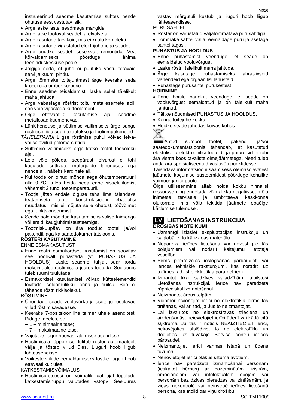instrueerinud seadme kasutamise suhtes nende ohutuse eest vastutav isik.

- Ärge laske lastel seadmega mängida.
- Ärge jätke töötavat seadet järelvalveta.
- Ärge kasutage tarvikuid, mis ei kuulu komplekti.
- Ärge kasutage vigastatud elektrijuhtmega seadet.
- Ärge püüdke seadet iseseisvalt remontida. Vea kõrvaldamiseks pöörduge lähima teeninduskeskuse poole.
- Jälgige seda, et juhe ei puutuks vastu teravaid servi ja kuumi pindu.
- Ärge tõmmake toitejuhtmest ärge keerake seda krussi ega ümber korpuse.
- Enne seadme teisaldamist, laske sellel täielikult maha jahtuda.
- Ärge vabastage röstrist toitu metallesemete abil, see võib vigastada kütteelementi.
- Olge ettevaatlik: kasutamise ajal seadme metallosad kuumenevad.
- Lühiühenduse ja süttimise vältimiseks ärge pange röstrisse liiga suuri toidutükke ja fooliumpakendeid.
- *TÄHELEPANU!* Liigse röstimise puhul võivad leivavõi saiaviilud põlema süttida.
- Süttimise vältimiseks ärge katke röstrit töösoleku ajal.
- Leib võib põleda, seepärast leivaröst ei tohi kasutada süttivate materjalide läheduses ega nende all, näiteks kardinate all.
- Kui toode on olnud mõnda aega õhutemperatuuril alla 0 ºC, tuleb hoida seda enne sisselülitamist vähemalt 2 tundi toatemperatuuril.
- Tootja jätab endale õiguse teha ilma täiendava teatamiseta toote konstruktsiooni ebaolulisi muudatusi, mis ei mõjuta selle ohutust, töövõimet ega funktsioneerimist.
- Seade pole mõeldud kasutamiseks välise taimeriga või eraldi kaugjuhtimissüsteemiga.
- Tootmiskuupäev on ära toodud tootel ja/või pakendil, aga ka saatedokumentatsioonis.

#### **RÖSTERI KASUTAMINE**

#### ENNE ESMAKASUTUST

- Enne röstri esmakordset kasutamist on soovitav see hoolikalt puhastada (vt. PUHASTUS JA HOOLDUS). Laske seadmel tühjalt paar korda maksimaalse röstimisaja juures töötada. Seejuures tuleb ruumi tuulutada.
- Esmakordsel kasutamisel võivad kütteelemendid levitada iseloomulikku lõhna ja suitsu. See ei tähenda röstri rikkisolekut.

RÖSTIMINE

- Ühendage seade vooluvõrku ja asetage röstitavad viilud röstimisavadesse.
- Keerake 7-positsiooniline taimer ühele asenditest. Pidage meeles, et:
	- 1 minimaalne tase;
	- 7 maksimaalne tase.
- Vajutage liugur hoovast alumisse asendisse.
- Röstimisaja lõppemisel lülitub röster automaatselt välja ja tõstab viilud üles. Liuguri hoob liigub lähteasendisse.
- Väikeste viilude eemaldamiseks tõstke liuguri hoob ettevaatlikult üles.

KATKESTAMISVÕIMALUS

 Röstimisprotsessi on võimalik igal ajal lõpetada katkestamisnuppu vajutades «stop». Seejuures vastav märgutuli kustub ja liuguri hoob liigub lähteasendisse.

#### PURUSAHTEL

- Röster on varustatud väljatõmmatava purusahtliga.
- Tõmmake sahtel välja, eemaldage puru ja asetage sahtel tagasi.

#### **PUHASTUS JA HOOLDUS**

- Enne puhastamist veenduge, et seade on eemaldatud vooluvõrgust.
- Laske röstril täielikult maha jahtuda.
- Ärge kasutage puhastamiseks abrasiivseid vahendeid ega orgaanilisi lahusteid.
- Puhastage purusahtel purukestest.

#### **HOIDMINE**

- Enne hoiule panekut veenduge, et seade on vooluvõrgust eemaldatud ja on täielikult maha jahtunud.
- Täitke nõudmised PUHASTUS JA HOOLDUS.
- Kerige toitejuhe kokku.
- Hoidke seade jahedas kuivas kohas.



Antud sümbol tootel, pakendil ja/või saatedokumentatsioonis tähendab, et kasutatud elektrilisi ja elektroonilisi tooteid ja patareisid ei tohi ära visata koos tavaliste olmejäätmetega. Need tuleb anda ära spetsialiseeritud vastuvõtupunktidesse.

Täiendava informatsiooni saamiseks olemasolevatest jäätmete kogumise süsteemidest pöörduge kohalike võimuorganite poole.

Õige utiliseerimine aitab hoida kokku hinnalisi ressursse ning ennetada võimalikku negatiivset mõju inimeste tervisele ja ümbritseva keskkonna olukorrale, mis võib tekkida jäätmete ebaõige käitlemise tulemusel.

#### **LV LIETOŠANAS INSTRUKCIJA DROŠĪBAS NOTEIKUMI**

- Uzmanīgi izlasiet ekspluatācijas instrukciju un saglabājiet to kā izziņas materiālu.
- Nepareiza ierīces lietošana var novest pie tās bojājumiem vai nodarīt kaitējumu lietotāja veselībai.
- Pirms pirmreizējās ieslēgšanas pārbaudiet, vai ierīces tehniskie raksturojumi, kas norādīti uz uzlīmes, atbilst elektrotīkla parametriem.
- Izmantot tikai sadzīves vajadzībām, atbilstoši Lietošanas instrukcijai. Ierīce nav paredzēta rūpnieciskai izmantošanai.
- Neizmantot ārpus telpām.
- Vienmēr atvienojiet ierīci no elektrotīkla pirms tās tīrīšanas, vai arī tad, ja Jūs to neizmantojat.
- Lai izvairītos no elektrostrāvas trieciena un aizdegšanās, neievietojiet ierīci ūdenī vai kādā citā šķidrumā. Ja tas ir noticis NEAIZTIECIET ierīci, nekavējoties atslēdziet to no elektrotīkla un dodieties uz tuvākajo Servisa centru ierīces pārbaudei.
- Neizmantojiet ierīci vannas istabā un ūdens tuvumā.
- Nenovietojiet ierīci blakus siltuma avotiem.
- Ierīce nav paredzēta izmantošanai personām (ieskaitot bērnus) ar pazeminātām fiziskām, emocionālām vai intelektuālām spējām vai personām bez dzīves pieredzes vai zināšanām, ja viņas nekontrolē vai neinstruē ierīces lietošanā persona, kas atbild par viņu drošību.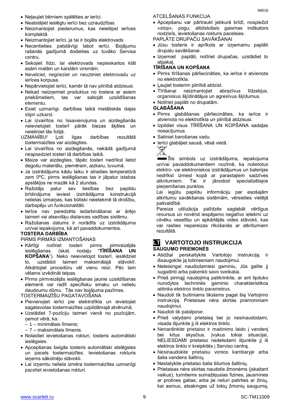- Neļaujiet bērniem spēlēties ar ierīci.
- Neatstājiet ieslēgtu ierīci bez uzraudzības.
- Neizmantojiet piederumus, kas neietilpst ierīces komplektā.
- Neizmantojiet ierīci, ja tai ir bojāts elektrovads.
- Necentieties patstāvīgi labot ierīci. Bojājumu rašanās gadījumā dodieties uz tuvāko Servisa centru.
- Sekojiet līdzi, lai elektrovads nepieskartos klāt asām malām un karstām virsmām.
- Nevelciet, negrieziet un neuztiniet elektrovadu uz ierīces korpusa.
- Nepārvietojiet ierīci, kamēr tā nav pilnībā atdzisusi.
- Nekad neizņemiet produktus no tostera ar asiem priekšmetiem, tas var sabojāt uzsildīšanas elementu.
- Esiet uzmanīgi: darbības laikā metāliskās daļas stipri uzkarst.
- Lai izvairītos no īssavienojuma un aizdegšanās neievietojiet tosterī pārāk biezas šķēles un neietiniet tās folijā.
- *UZMANĪBU!* Ļoti ilgas darbības rezultātā tostermaizītes var aizdegties.
- Lai izvairītos no aizdegšanās, nekādā gadījumā neapsedziet tosteri tā darbības laikā.
- Maize var aizdegties, tāpēc tosteri nedrīkst lietot degošu materiālu, piemēram, aizkaru, tuvumā.
- Ja izstrādājums kādu laiku ir atradies temperatūrā zem 0ºC, pirms ieslēgšanas tas ir jāpatur istabas apstākļos ne mazāk kā 2 stundas.
- Ražotājs patur sev tiesības bez papildu brīdinājuma ieviest izstrādājuma konstrukcijā nelielas izmaiņas, kas būtiski neietekmē tā drošību, darbspēju un funkcionalitāti.
- Ierīce nav paredzēta iedarbināšanai ar ārējo taimeri vai atsevišķu distances vadības sistēmu.
- Ražošanas datums ir norādīts uz izstrādājuma un/vai iepakojuma, kā arī pavaddokumentos.

#### **TOSTERA DARBĪBA**

PIRMS PIRMĀS IZMANTOŠANAS

- Kārtīgi notīriet tosteri pirms pirmreizējās ieslēgšanas. (skat. nodaļu "**TĪRĪŠANA UN KOPŠANA**"). Neko neievietojot tosterī, ieslēdziet to, uzstādot taimeri maksimālajā stāvoklī. Atkārtojiet procedūru vēl vienu reizi. Pēc tam vēlams izvēdināt telpas.
- Pirms pirmreizējās ieslēgšanas jaunie uzsildīšanas elementi var radīt specifisku smaku un nelielu daudzumu dūmu. Tās nav bojājuma pazīmes.

TOSTERMAIZĪŠU PAGATAVOŠANA

- Pievienojiet ierīci pie elektrotīkla un ievietojiet sagatavotas tostermaizītes uzpildāmajā atvērumā.
- Uzstādiet 7-pozīciju taimeri vienā no pozīcijām, ņemot vērā, ka:
	- 1 minimālais līmenis;
	- 7 maksimālais līmenis.
- Nolaidiet ievietošanas rokturi, tosteris automātiski ieslēgsies.
- Apcepšanas beigās tosteris automātiski atslēgsies un pacels tostermaizītes. Ievietošanas rokturis ieņems sākotnējo stāvokli.
- Lai izņemtu neliela izmēra tostermaizītes uzmanīgi paceliet ievietošanas rokturi.

ATCELŠANAS FUNKCIJA

- Apcepšanu var pārtraukt jebkurā brīdī, nospiežot «stop», pogu; atbilstošais gaismas indikators nodzisīs, ievietošanas rokturis pacelsies.
- PAPLĀTE DRUPAČU SAVĀKŠANAI
- Jūsu tosteris ir aprīkots ar izņemamu paplāti drupatu savākšanai.
- Izņemiet paplāti, notīriet drupačas, uzstādiet to atpakaļ.

#### **TĪRĪŠANA UN KOPŠANA**

- Pirms tīrīšanas pārliecināties, ka ierīce ir atvienota no elektrotīkla.
- Ļaujiet tosterim pilnībā atdzist.
- Tīrīšanai neizmantojiet abrazīvus līdzekļus, organiskus šķīdinātājus un agresīvus šķīdumus.
- Notīriet paplāti no drupatām.

#### **GLABĀŠANA**

- Pirms glabāšanas pārliecināties, ka ierīce ir atvienota no elektrotīkla un pilnībā atdzisusi.
- Izpildiet visus TĪRĪŠANA UN KOPŠANA sadaļas nosacījumus.
- Satiniet barošanas vadu.
- Ierīci glabājiet sausā, vēsā vietā.



Šis simbols uz izstrādājuma, iepakojuma un/vai pavaddokumentiem nozīmē, ka nolietotus elektro- vai elektroniskos izstrādājumus un baterijas nedrīkst izmest kopā ar parastajiem sadzīves atkritumiem. Tie ir jānodod specializētajos pieņemšanas punktos.

Lai iegūtu papildu informāciju par esošajām atkritumu savākšanas sistēmām, vērsieties vietējā pašvaldībā.

Pareiza utilizācija palīdzēs saglabāt vērtīgus resursus un novērst iespējamo negatīvo ietekmi uz cilvēku veselību un apkārtējās vides stāvokli, kas var rasties nepareizas rīkošanās ar atkritumiem rezultātā.

#### **LT VARTOTOJO INSTRUKCIJA SAUGUMO PRIEMONĖS**

- Atidžiai perskaitykite Vartotojo instrukciją ir išsaugokite ją tolimesniam naudojimui.
- Neteisingai naudodamiesi gaminiu, Jūs galite jį sugadinti arba pakenkti savo sveikatai.
- Prieš pirmąjį naudojimą patikrinkite, ar ant lipduko nurodytos techninės gaminio charakteristikos atitinka elektros tinklo parametrus.
- Naudoti tik buitiniams tikslams pagal šią Vartojimo instrukciją. Prietaisas nėra skirtas pramoniniam naudojimui.
- Naudoti tik patalpose.
- Prieš valydami prietaisą bei jo nesinaudodami, visada išjunkite jį iš elektros tinklo.
- Nenardinkite prietaiso ir maitinimo laido į vandenį bei kitus skysčius. Įvykus tokiai situacijai, NELIESDAMI prietaiso nedelsdami išjunkite jį iš elektros tinklo ir kreipkitės į Serviso centrą.
- Nesinaudokite prietaisu vonios kambaryje arba šalia vandens šaltinių.
- Nestatykite prietaiso šalia šilumos šaltinių.
- Prietaisas nėra skirtas naudotis žmonėms (įskaitant vaikus), turintiems sumažėjusias fizines, jausmines ar protines galias; arba jie neturi patirties ar žinių, kai asmuo, atsakingas už tokių žmonių saugumą,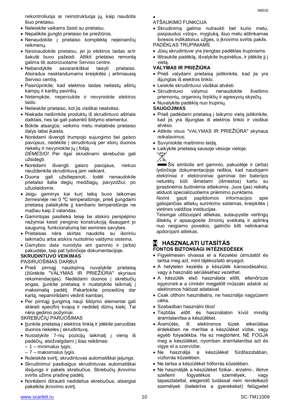nekontroliuoja ar neinstruktuoja jų, kaip naudotis šiuo prietaisu.

- Neleiskite vaikams žaisti su prietaisu.
- Nepalikite įjungto prietaiso be priežiūros.
- Nenaudokite į prietaiso komplektą neįeinančių reikmenų.
- Nesinaudokite prietaisu, jei jo elektros laidas ar/ir šakutė buvo pažeisti. Atlikti prietaiso remontą galima tik autorizuotame Serviso centre.
- Nebandykite savarankiškai taisyti prietaiso. Atsiradus nesklandumams kreipkitės į artimiausią Serviso centrą.
- Pasirūpinkite, kad elektros laidas neliestų aštrių kampų ir karštų paviršių.
- Netempkite, nepersukite ir nevyniokite elektros laido.
- Nelieskite prietaiso, kol jis visiškai neatvėso.
- Niekada neišimkite produktų iš skrudintuvo aštriais daiktais, nes tai gali pakenkti šildymo elementui.
- Būkite atsargūs: veikimo metu metalinės prietaiso dalys labai įkaista.
- Norėdami išvengti trumpojo sujungimo bei gaisro pavojaus, nedėkite į skrudintuvą per storų duonos riekelių ir nevyniokite jų į foliją. *DĖMESIO!* Per ilgai skrudinami skrebučiai gali

užsidegti.

- Norėdami išvengti gaisro pavojaus, niekuo neuždenkite skrudintuvą jam veikiant.
- Duona gali užsiliepsnoti, todėl nenaudokite prietaiso šalia degių medžiagų, pavyzdžiui, po užuolaidomis.
- Jeigu gaminys kai kurį laiką buvo laikomas žemesnėje nei 0 ºC temperatūroje, prieš įjungdami prietaisą palaikykite jį kambario temperatūroje ne mažiau kaip 2 valandas.
- Gamintojas pasilieka teisę be atskiro perspėjimo nežymiai keisti įrenginio konstrukciją išsaugant jo saugumą, funkcionalumą bei esmines savybes.
- Prietaisas nėra skirtas naudotis su išoriniu laikmačiu arba atskira nuotolinio valdymo sistema.
- Gamybos data nurodyta ant gaminio ir (arba) pakuotėje, taip pat lydinčioje dokumentacijoje.

#### **SKRUDINTUVO VEIKIMAS** PASIRUOŠIMAS DARBUI

- Prieš pirmąjį naudojimą nuvalykite prietaisą (žiūrėkite "VALYMAS IR PRIEŽIŪRA" skyriaus rekomendacijas). Nedėdami duonos į skrebučių angas, įjunkite prietaisą ir nustatykite laikmatį į maksimalią padėtį. Pakartokite procedūrą dar kartą, nepamiršdami vėdinti kambarį.
- Per pirmąjį įjungimą nauji šildymo elementai gali skleisti specifinį kvapą ir nedidelį dūmų kiekį. Tai nėra gedimo požymiai.

#### SKREBUČIŲ PARUOŠIMAS

- Įjunkite prietaisą į elektros tinklą ir įdėkite paruoštas duonos riekeles į skrudintuvą.
- Nustatykite 7-nių pozicijų laikmatį į vieną iš padėčių, atsižvelgdami į šias reikšmes:
	- 1 minimalus lygis;
	- 7 maksimalus lygis.
- Nuleiskite svirtį, skrudintuvas automatiškai įsijungs.
- Skrudinimui pasibaigus skrudintuvas automatiškai išsijungs ir pakels skrebučius. Skrebučių įkrovimo svirtis užims pradinę padėtį.
- Norėdami ištraukti nedidelius skrebučius, atsargiai pakelkite įkrovimo svirtį.
- $\bullet$ ATŠAUKIMO FUNKCIJA
- Skrudinimą galima nutraukti bet kurio metu, paspaudus «stop», mygtuką, šiuo metu atitinkamas šviesos indikatorius užges, o įkrovimo svirtis pakils. PADĖKLAS TRUPINIAMS
- Jūsų skrudintuve yra įrengtas padėklas trupiniams.
- Ištraukite padėklą, išvalykite trupinėlius, ir įdėkite jį į vietą.

#### **VALYMAS IR PRIEŽIŪRA**

- Prieš valydami prietaisą įsitikinkite, kad jis yra išjungtas iš elektros tinklo.
- Leiskite skrudintuvui visiškai atvėsti.
- Skrudintuvo valymui nenaudokite šveitimo priemonių, organinių tirpiklių ir agresyvių skysčių.
- Nuvalykite padėklą nuo trupinių.

#### **SAUGOJIMAS**

- Prieš padėdami prietaisą į laikymo vietą įsitikinkite, kad jis yra išjungtas iš elektros tinklo ir visiškai atvėso.
- Atlikite visus "VALYMAS IR PRIEŽIŪRA" skyriaus reikalavimus.
- Suvyniokite maitinimo laidą.
- Laikykite prietaisą sausoje vėsioje vietoje.



Šis simbolis ant gaminio, pakuotėje ir (arba) lydinčioje dokumentacijoje reiškia, kad naudojami elektriniai ir elektroniniai gaminiai bei baterijos neturėtų būti išmetami (išmestos) kartu su įprastinėmis buitinėmis atliekomis. Juos (jas) reikėtų atiduoti specializuotiems priėmimo punktams.

Norint gauti papildomos informacijos apie galiojančias atliekų surinkimo sistemas, kreipkitės į vietines valdžios institucijas.

Teisingai utilizuojant atliekas, sutaupysite vertingų išteklių ir apsaugosite žmonių sveikatą ir aplinką nuo neigiamo poveikio, galinčio kilti netinkamai apdorojant atliekas.

## **H HASZNALATI UTASÍTÁS**

#### **FONTOS BIZTONSÁGI INTÉZKEDÉSEK**

- Figyelmesen olvassa el a Kezelési útmutatót és tartsa meg azt, mint tájékoztató anyagot.
- A helytelen kezelés a készülék károsodásához, vagy a használó sérüléséhez vezethet.
- A készülék első használata előtt, ellenőrizze egyeznek-e a címkén megjelölt műszaki adatok az elektromos hálózat adataival.
- Csak otthoni használatra, ne használja nagyüzemi célra.
- Szabadban használni tilos!
- Tisztítás előtt és használaton kívül mindig áramtalanítsa a készüléket.
- Áramütés, ill. elektromos tüzek elkerülése érdekében ne merítse a készüléket vízbe, vagy egyéb folyadékba. Ha ez megtörtént, NE FOGJA meg a készüléket, nyomban áramtalanítsa azt és vigye el a szervizbe.
- Ne használja a készüléket fürdőszobában, vízforrás közelében.
- Ne tartsa a készüléket hőforrás közelében.
- Ne használják a készüléket fizikai-, érzelmi-, illetve szellemi fogyatékos személyek, vagy tapasztalattal, elegendő tudással nem rendelkező személyek (beleértve a gyerekeket) felügyelet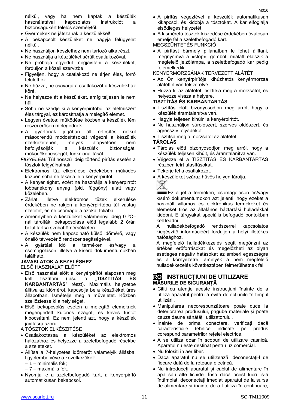nélkül, vagy ha nem kaptak a készülék használatával kapcsolatos instrukciót a biztonságukért felelős személytől.

- Gyermekek ne játszanak a készülékkel!
- A bekapcsolt készüléket ne hagyja felügyelet nélkül.
- Ne használjon készlethez nem tartozó alkatrészt.
- Ne használja a készüléket sérült csatlakozóval.
- Ne próbálja egyedül megjavítani a készüléket, forduljon a közeli szervizbe.
- Figyeljen, hogy a csatlakozó ne érjen éles, forró felülethez.
- Ne húzza, ne csavarja a csatlakozót a készülékház köré.
- Ne helyezze át a készüléket, amíg teljesen le nem hűl.
- Soha ne szedje ki a kenyérpirítóból az élelmiszert éles tárgyal, ez károsíthatja a melegítő elemet.
- Legyen óvatos: működése közben a készülék fém részei erősen melegednek.
- A gyártónak jogában áll értesítés nélkül másodrendű módosításokat végezni a készülék szerkezetében, melyek alapvetően nem befolyásolják a készülék biztonságát, működőképességét, funkcionalitását.
- *FIGYELEM!* Túl hosszú ideig történő pirítás esetén a tósztok felgyúlhatnak.
- Elektromos tűz elkerülése érdekében működés közben soha ne takarja le a kenyérpirítót.
- A kenyér éghet, ezért ne használja a kenyérpirítót lobbanékony anyag (pld. függöny) alatt vagy közelében.
- Zárlat, illetve elektromos tüzek elkerülése érdekében ne rakjon a kenyérpirítóba túl vastag szeletet, és ne csomagolja azokat fóliába.
- Amennyiben a készüléket valamennyi ideig 0 ºC– nál tárolták, bekapcsolása előtt legalább 2 órán belül tartsa szobahőmérsékleten.
- A készülék nem kapcsolható külső időmérő, vagy önálló távvezérlő rendszer segítségével.
- A gyártási idő a terméken és/vagy a csomagoláson, illetve a kísérő dokumentumokban található.

#### **JAVASLATOK A KEZELÉSHEZ**

ELSŐ HASZNÁLAT ELŐTT

- Első használat előtt a kenyérpirítót alaposan meg kell tisztítani (lásd a "**TISZTITÁS ÉS KARBANTARTÁS**" részt). Maximális helyzetbe állítva az időmérőt, kapcsolja be a készüléket üres állapotban. Ismételje meg a műveletet. Közben szellőztesse ki a helyiséget.
- Első bekapcsolás esetén a melegítő elemeknek megengedett különös szagot, és kevés füstöt kibocsátani. Ez nem jelenti azt, hogy a készülék javításra szorul.

A TÓSZTOK ELKÉSZITÉSE

- Csatlakoztassa a készüléket az elektromos hálózathoz és helyezze a szeletbefogadó résekbe a szeleteket.
- Állítsa a 7-helyzetes időmérőt valamelyik állásba, figyelembe véve a következőket:
	- 1 minimális fok;
	- 7 maximális fok.
- Nyomja le a szeletbefogadó kart, a kenyérpirító automatikusan bekapcsol.
- A pirítás végeztével a készülék automatikusan kikapcsol, és kidobja a tósztokat. A kar elfoglalja elsődleges helyzetét.
- A kisméretű tósztok kiszedése érdekében óvatosan emelje fel a szeletbefogadó kart.

MEGSZÜNTETÉS FUNKCIÓ

 A pirítást bármely pillanatban le lehet állítani, megnyomva a «stop», gombot, mialatt elalszik a megfelelő jelzőlámpa, a szeletbefogadó kar pedig felemelkedik.

KENYÉRMORZSÁNAK TERVEZETT ALÁTÉT

- Az Ön kenyérpirítója kihúzhatós kenyérmorzsa alátéttel van felszerelve.
- Húzza ki az alátétet, tisztítsa meg a morzsától, és helyezze vissza a helyére.

#### **TISZTÍTÁS ÉS KARBANTARTÁS**

- Tisztítás előtt bizonyosodjon meg arról, hogy a készülék áramtalanítva van.
- Hagyja teljesen kihűlni a kenyérpirítót.
- Ne használjon súrolószert, szerves oldószert, és agresszív folyadékot.
- Tisztítsa meg a morzsától az alátétet.
- **TÁROLÁS**
- Tárolás előtt bizonyosodjon meg arról, hogy a készülék teljesen kihűlt, és áramtalanítva van.
- Végezze el a TISZTITÁS ÉS KARBANTARTÁS részben leírt utasításokat.
- Tekerje fel a csatlakozót.
- A készüléket száraz hűvös helyen tárolja.



**Ez a jel a terméken, csomagoláson és/vagy** kísérő dokumentumokon azt jelenti, hogy ezeket a használt villamos és elektronikus termékeket és elemeket tilos az általános háztartási hulladékkal kidobni. E tárgyakat speciális befogadó pontokban kell leadni.

A hulladékbefogadó rendszerrel kapcsolatos kiegészítő információért forduljon a helyi illetékes hatósághoz.

A megfelelő hulladékkezelés segít megőrizni az értékes erőforrásokat és megelőzheti az olyan esetleges negatív hatásokat az emberi egészségre és a környezetre, amelyek a nem megfelelő hulladékkezelés következtében felmerülhetnek fel.

#### **RO INSTRUCȚIUNI DE UTILIZARE MĂSURILE DE SIGURANȚĂ**

- Citiți cu atenție aceste instrucțiuni înainte de a utiliza aparatul pentru a evita defecțiunile în timpul utilizării.
- Manipularea necorespunzătoare poate duce la deteriorarea produsului, pagube materiale și poate cauza daune sănătății utilizatorului.
- Inainte de prima conectare, verificați dacă caracteristicile tehnice indicate pe produs corespund parametrilor rețelei electrice.
- A se utiliza doar în scopuri de utilizare casnică. Aparatul nu este destinat pentru uz comercial.
- Nu folosiți în aer liber.
- Dacă aparatul nu se utilizează, deconectați-l de fiecare dată de la rețeaua electrică.
- Nu introduceți aparatul și cablul de alimentare în apă sau alte lichide. Însă dacă acest lucru s-a întâmplat, deconectați imediat aparatul de la sursa de alimentare și înainte de a-l utiliza în continuare,